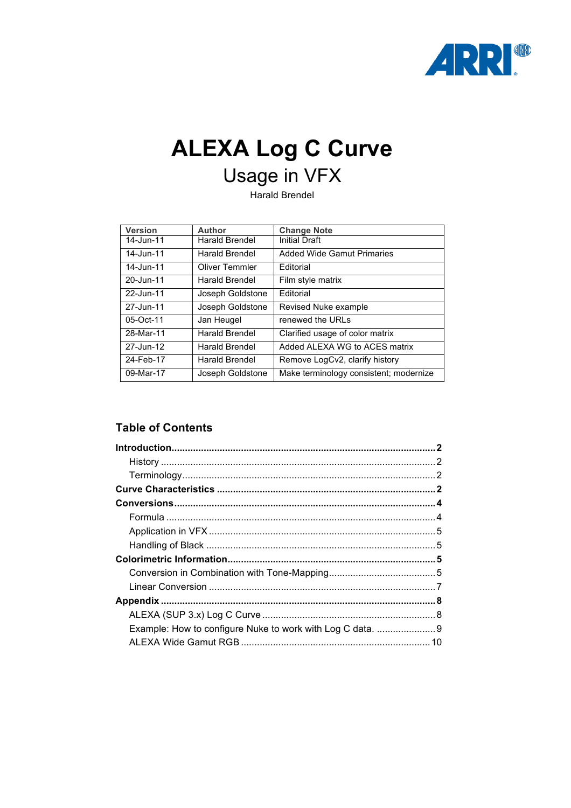

# **ALEXA Log C Curve** Usage in VFX

Harald Brendel

| <b>Version</b> | Author                | <b>Change Note</b>                     |
|----------------|-----------------------|----------------------------------------|
| 14-Jun-11      | <b>Harald Brendel</b> | <b>Initial Draft</b>                   |
| 14-Jun-11      | <b>Harald Brendel</b> | <b>Added Wide Gamut Primaries</b>      |
| 14-Jun-11      | Oliver Temmler        | Editorial                              |
| 20-Jun-11      | <b>Harald Brendel</b> | Film style matrix                      |
| 22-Jun-11      | Joseph Goldstone      | Editorial                              |
| 27-Jun-11      | Joseph Goldstone      | Revised Nuke example                   |
| 05-Oct-11      | Jan Heugel            | renewed the URLs                       |
| 28-Mar-11      | <b>Harald Brendel</b> | Clarified usage of color matrix        |
| 27-Jun-12      | Harald Brendel        | Added ALEXA WG to ACES matrix          |
| 24-Feb-17      | <b>Harald Brendel</b> | Remove LogCv2, clarify history         |
| 09-Mar-17      | Joseph Goldstone      | Make terminology consistent; modernize |

## **Table of Contents**

| Example: How to configure Nuke to work with Log C data.  9 |  |
|------------------------------------------------------------|--|
|                                                            |  |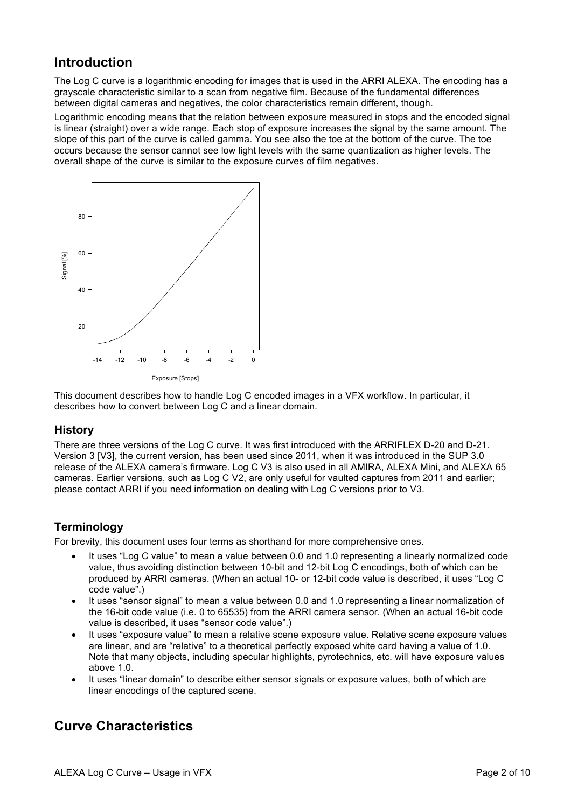## **Introduction**

The Log C curve is a logarithmic encoding for images that is used in the ARRI ALEXA. The encoding has a grayscale characteristic similar to a scan from negative film. Because of the fundamental differences between digital cameras and negatives, the color characteristics remain different, though.

Logarithmic encoding means that the relation between exposure measured in stops and the encoded signal is linear (straight) over a wide range. Each stop of exposure increases the signal by the same amount. The slope of this part of the curve is called gamma. You see also the toe at the bottom of the curve. The toe occurs because the sensor cannot see low light levels with the same quantization as higher levels. The overall shape of the curve is similar to the exposure curves of film negatives.



This document describes how to handle Log C encoded images in a VFX workflow. In particular, it describes how to convert between Log C and a linear domain.

#### **History**

There are three versions of the Log C curve. It was first introduced with the ARRIFLEX D-20 and D-21. Version 3 [V3], the current version, has been used since 2011, when it was introduced in the SUP 3.0 release of the ALEXA camera's firmware. Log C V3 is also used in all AMIRA, ALEXA Mini, and ALEXA 65 cameras. Earlier versions, such as Log C V2, are only useful for vaulted captures from 2011 and earlier; please contact ARRI if you need information on dealing with Log C versions prior to V3.

#### **Terminology**

For brevity, this document uses four terms as shorthand for more comprehensive ones.

- It uses "Log C value" to mean a value between 0.0 and 1.0 representing a linearly normalized code value, thus avoiding distinction between 10-bit and 12-bit Log C encodings, both of which can be produced by ARRI cameras. (When an actual 10- or 12-bit code value is described, it uses "Log C code value".)
- It uses "sensor signal" to mean a value between 0.0 and 1.0 representing a linear normalization of the 16-bit code value (i.e. 0 to 65535) from the ARRI camera sensor. (When an actual 16-bit code value is described, it uses "sensor code value".)
- It uses "exposure value" to mean a relative scene exposure value. Relative scene exposure values are linear, and are "relative" to a theoretical perfectly exposed white card having a value of 1.0. Note that many objects, including specular highlights, pyrotechnics, etc. will have exposure values above 1.0.
- It uses "linear domain" to describe either sensor signals or exposure values, both of which are linear encodings of the captured scene.

# **Curve Characteristics**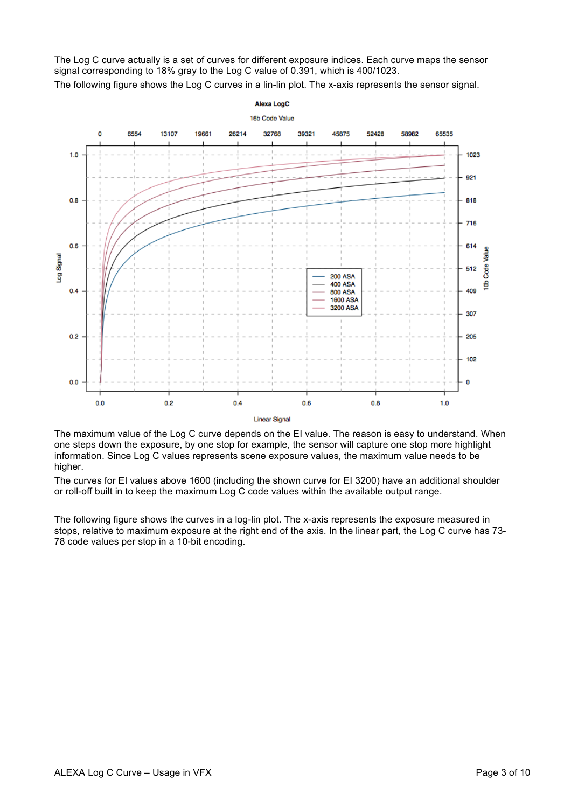The Log C curve actually is a set of curves for different exposure indices. Each curve maps the sensor signal corresponding to 18% gray to the Log C value of 0.391, which is 400/1023.

The following figure shows the Log C curves in a lin-lin plot. The x-axis represents the sensor signal.



**Linear Signal** 

The maximum value of the Log C curve depends on the EI value. The reason is easy to understand. When one steps down the exposure, by one stop for example, the sensor will capture one stop more highlight information. Since Log C values represents scene exposure values, the maximum value needs to be higher.

The curves for EI values above 1600 (including the shown curve for EI 3200) have an additional shoulder or roll-off built in to keep the maximum Log C code values within the available output range.

The following figure shows the curves in a log-lin plot. The x-axis represents the exposure measured in stops, relative to maximum exposure at the right end of the axis. In the linear part, the Log C curve has 73- 78 code values per stop in a 10-bit encoding.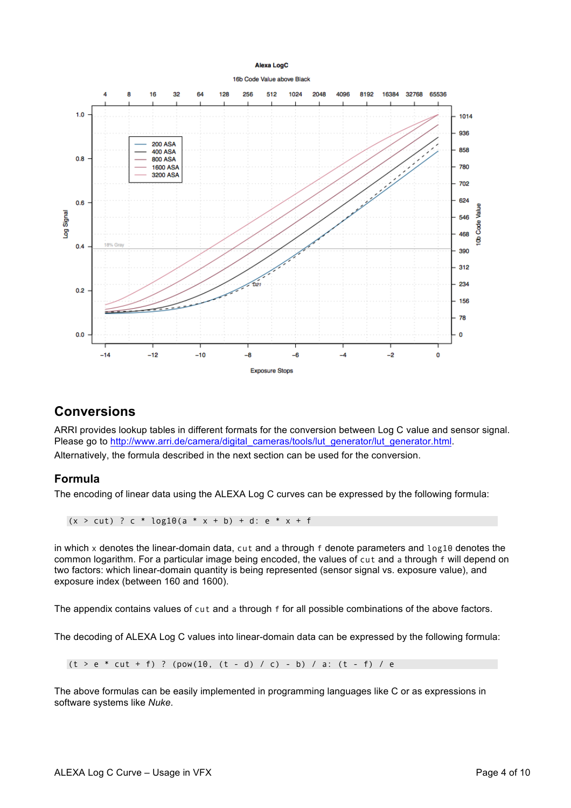



#### **Conversions**

ARRI provides lookup tables in different formats for the conversion between Log C value and sensor signal. Please go to http://www.arri.de/camera/digital\_cameras/tools/lut\_generator/lut\_generator.html. Alternatively, the formula described in the next section can be used for the conversion.

#### **Formula**

The encoding of linear data using the ALEXA Log C curves can be expressed by the following formula:

 $(x > cut)$  ? c \* log10(a \* x + b) + d: e \* x + f

in which x denotes the linear-domain data, cut and a through f denote parameters and log10 denotes the common logarithm. For a particular image being encoded, the values of cut and a through f will depend on two factors: which linear-domain quantity is being represented (sensor signal vs. exposure value), and exposure index (between 160 and 1600).

The appendix contains values of cut and a through f for all possible combinations of the above factors.

The decoding of ALEXA Log C values into linear-domain data can be expressed by the following formula:

 $(t > e * cut + f)$  ? (pow(10,  $(t - d) / c$ ) - b) / a:  $(t - f) / e$ 

The above formulas can be easily implemented in programming languages like C or as expressions in software systems like *Nuke*.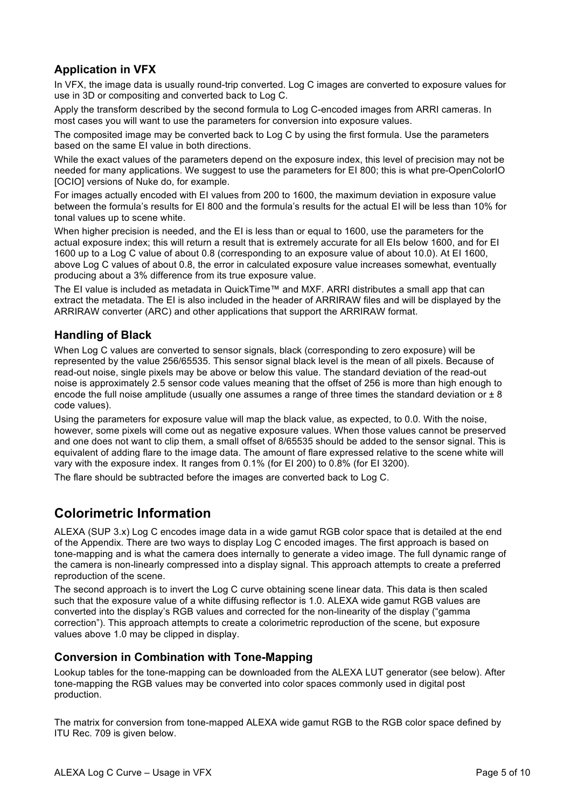## **Application in VFX**

In VFX, the image data is usually round-trip converted. Log C images are converted to exposure values for use in 3D or compositing and converted back to Log C.

Apply the transform described by the second formula to Log C-encoded images from ARRI cameras. In most cases you will want to use the parameters for conversion into exposure values.

The composited image may be converted back to Log C by using the first formula. Use the parameters based on the same EI value in both directions.

While the exact values of the parameters depend on the exposure index, this level of precision may not be needed for many applications. We suggest to use the parameters for EI 800; this is what pre-OpenColorIO [OCIO] versions of Nuke do, for example.

For images actually encoded with EI values from 200 to 1600, the maximum deviation in exposure value between the formula's results for EI 800 and the formula's results for the actual EI will be less than 10% for tonal values up to scene white.

When higher precision is needed, and the EI is less than or equal to 1600, use the parameters for the actual exposure index; this will return a result that is extremely accurate for all EIs below 1600, and for EI 1600 up to a Log C value of about 0.8 (corresponding to an exposure value of about 10.0). At EI 1600, above Log C values of about 0.8, the error in calculated exposure value increases somewhat, eventually producing about a 3% difference from its true exposure value.

The EI value is included as metadata in QuickTime™ and MXF. ARRI distributes a small app that can extract the metadata. The EI is also included in the header of ARRIRAW files and will be displayed by the ARRIRAW converter (ARC) and other applications that support the ARRIRAW format.

#### **Handling of Black**

When Log C values are converted to sensor signals, black (corresponding to zero exposure) will be represented by the value 256/65535. This sensor signal black level is the mean of all pixels. Because of read-out noise, single pixels may be above or below this value. The standard deviation of the read-out noise is approximately 2.5 sensor code values meaning that the offset of 256 is more than high enough to encode the full noise amplitude (usually one assumes a range of three times the standard deviation or  $\pm 8$ code values).

Using the parameters for exposure value will map the black value, as expected, to 0.0. With the noise, however, some pixels will come out as negative exposure values. When those values cannot be preserved and one does not want to clip them, a small offset of 8/65535 should be added to the sensor signal. This is equivalent of adding flare to the image data. The amount of flare expressed relative to the scene white will vary with the exposure index. It ranges from 0.1% (for EI 200) to 0.8% (for EI 3200).

The flare should be subtracted before the images are converted back to Log C.

# **Colorimetric Information**

ALEXA (SUP 3.x) Log C encodes image data in a wide gamut RGB color space that is detailed at the end of the Appendix. There are two ways to display Log C encoded images. The first approach is based on tone-mapping and is what the camera does internally to generate a video image. The full dynamic range of the camera is non-linearly compressed into a display signal. This approach attempts to create a preferred reproduction of the scene.

The second approach is to invert the Log C curve obtaining scene linear data. This data is then scaled such that the exposure value of a white diffusing reflector is 1.0. ALEXA wide gamut RGB values are converted into the display's RGB values and corrected for the non-linearity of the display ("gamma correction"). This approach attempts to create a colorimetric reproduction of the scene, but exposure values above 1.0 may be clipped in display.

#### **Conversion in Combination with Tone-Mapping**

Lookup tables for the tone-mapping can be downloaded from the ALEXA LUT generator (see below). After tone-mapping the RGB values may be converted into color spaces commonly used in digital post production.

The matrix for conversion from tone-mapped ALEXA wide gamut RGB to the RGB color space defined by ITU Rec. 709 is given below.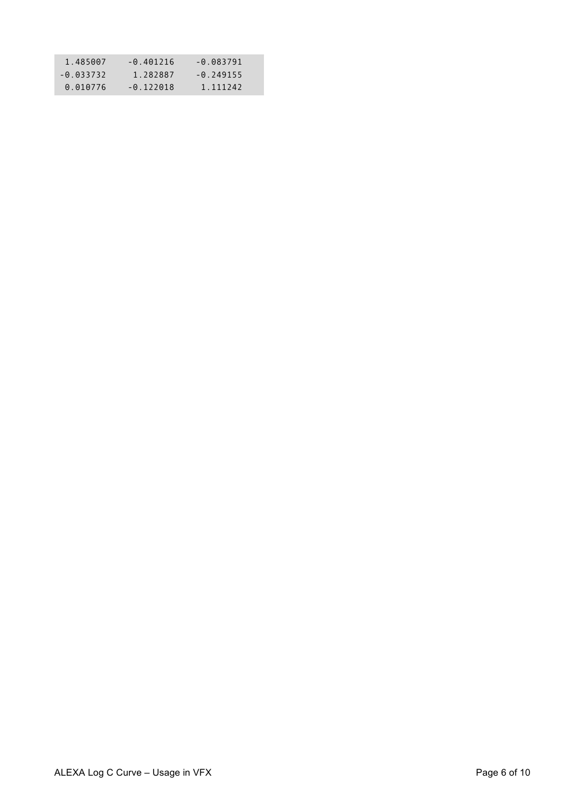| 1.485007    | $-0.401216$ | $-0.083791$ |
|-------------|-------------|-------------|
| $-0.033732$ | 1.282887    | $-0.249155$ |
| 0.010776    | $-0.122018$ | 1.111242    |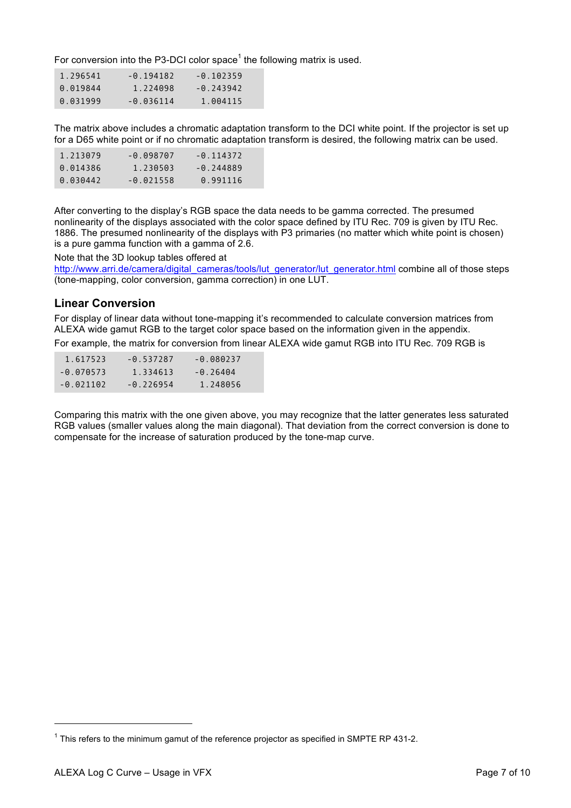For conversion into the P3-DCI color space<sup>1</sup> the following matrix is used.

| 1.296541 | $-0.194182$ | $-0.102359$ |
|----------|-------------|-------------|
| 0.019844 | 1.224098    | $-0.243942$ |
| 0.031999 | $-0.036114$ | 1.004115    |

The matrix above includes a chromatic adaptation transform to the DCI white point. If the projector is set up for a D65 white point or if no chromatic adaptation transform is desired, the following matrix can be used.

| 1.213079 | -0.098707   | $-0.114372$ |
|----------|-------------|-------------|
| 0.014386 | 1.230503    | $-0.244889$ |
| 0.030442 | $-0.021558$ | 0.991116    |

After converting to the display's RGB space the data needs to be gamma corrected. The presumed nonlinearity of the displays associated with the color space defined by ITU Rec. 709 is given by ITU Rec. 1886. The presumed nonlinearity of the displays with P3 primaries (no matter which white point is chosen) is a pure gamma function with a gamma of 2.6.

Note that the 3D lookup tables offered at

http://www.arri.de/camera/digital\_cameras/tools/lut\_generator/lut\_generator.html combine all of those steps (tone-mapping, color conversion, gamma correction) in one LUT.

#### **Linear Conversion**

For display of linear data without tone-mapping it's recommended to calculate conversion matrices from ALEXA wide gamut RGB to the target color space based on the information given in the appendix.

For example, the matrix for conversion from linear ALEXA wide gamut RGB into ITU Rec. 709 RGB is

| 1.617523    | $-0.537287$ | $-0.080237$ |
|-------------|-------------|-------------|
| $-0.070573$ | 1.334613    | $-0.26404$  |
| $-0.021102$ | $-0.226954$ | 1.248056    |

Comparing this matrix with the one given above, you may recognize that the latter generates less saturated RGB values (smaller values along the main diagonal). That deviation from the correct conversion is done to compensate for the increase of saturation produced by the tone-map curve.

l

 $1$  This refers to the minimum gamut of the reference projector as specified in SMPTE RP 431-2.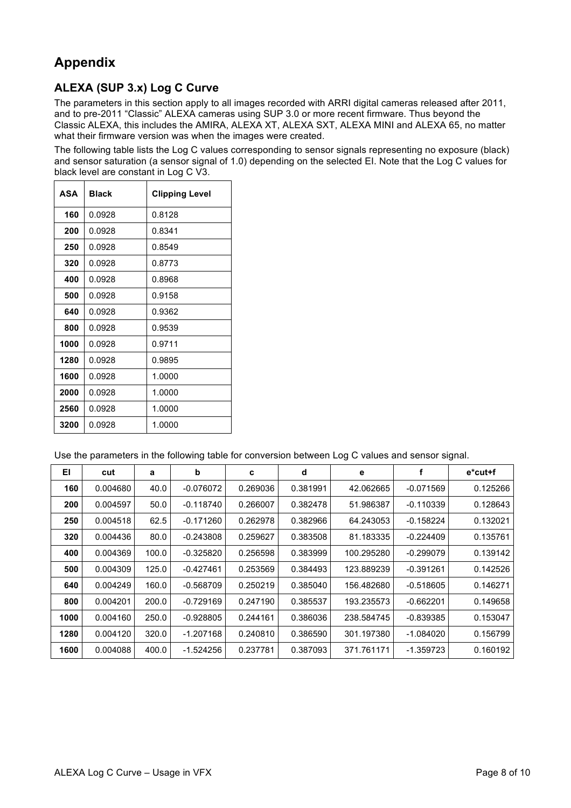# **Appendix**

## **ALEXA (SUP 3.x) Log C Curve**

The parameters in this section apply to all images recorded with ARRI digital cameras released after 2011, and to pre-2011 "Classic" ALEXA cameras using SUP 3.0 or more recent firmware. Thus beyond the Classic ALEXA, this includes the AMIRA, ALEXA XT, ALEXA SXT, ALEXA MINI and ALEXA 65, no matter what their firmware version was when the images were created.

The following table lists the Log C values corresponding to sensor signals representing no exposure (black) and sensor saturation (a sensor signal of 1.0) depending on the selected EI. Note that the Log C values for black level are constant in Log C V3.

| ASA  | <b>Black</b> | <b>Clipping Level</b> |
|------|--------------|-----------------------|
| 160  | 0.0928       | 0.8128                |
| 200  | 0.0928       | 0.8341                |
| 250  | 0.0928       | 0.8549                |
| 320  | 0.0928       | 0.8773                |
| 400  | 0.0928       | 0.8968                |
| 500  | 0.0928       | 0.9158                |
| 640  | 0.0928       | 0.9362                |
| 800  | 0.0928       | 0.9539                |
| 1000 | 0.0928       | 0.9711                |
| 1280 | 0.0928       | 0.9895                |
| 1600 | 0.0928       | 1.0000                |
| 2000 | 0.0928       | 1.0000                |
| 2560 | 0.0928       | 1.0000                |
| 3200 | 0.0928       | 1.0000                |

Use the parameters in the following table for conversion between Log C values and sensor signal.

| EI   | cut      | a     | b           | c        | d        | е          |             | e*cut+f  |
|------|----------|-------|-------------|----------|----------|------------|-------------|----------|
| 160  | 0.004680 | 40.0  | $-0.076072$ | 0.269036 | 0.381991 | 42.062665  | $-0.071569$ | 0.125266 |
| 200  | 0.004597 | 50.0  | $-0.118740$ | 0.266007 | 0.382478 | 51.986387  | $-0.110339$ | 0.128643 |
| 250  | 0.004518 | 62.5  | $-0.171260$ | 0.262978 | 0.382966 | 64.243053  | $-0.158224$ | 0.132021 |
| 320  | 0.004436 | 80.0  | $-0.243808$ | 0.259627 | 0.383508 | 81.183335  | $-0.224409$ | 0.135761 |
| 400  | 0.004369 | 100.0 | $-0.325820$ | 0.256598 | 0.383999 | 100.295280 | $-0.299079$ | 0.139142 |
| 500  | 0.004309 | 125.0 | $-0.427461$ | 0.253569 | 0.384493 | 123.889239 | $-0.391261$ | 0.142526 |
| 640  | 0.004249 | 160.0 | $-0.568709$ | 0.250219 | 0.385040 | 156.482680 | $-0.518605$ | 0.146271 |
| 800  | 0.004201 | 200.0 | $-0.729169$ | 0.247190 | 0.385537 | 193.235573 | $-0.662201$ | 0.149658 |
| 1000 | 0.004160 | 250.0 | $-0.928805$ | 0.244161 | 0.386036 | 238.584745 | $-0.839385$ | 0.153047 |
| 1280 | 0.004120 | 320.0 | $-1.207168$ | 0.240810 | 0.386590 | 301.197380 | $-1.084020$ | 0.156799 |
| 1600 | 0.004088 | 400.0 | $-1.524256$ | 0.237781 | 0.387093 | 371.761171 | $-1.359723$ | 0.160192 |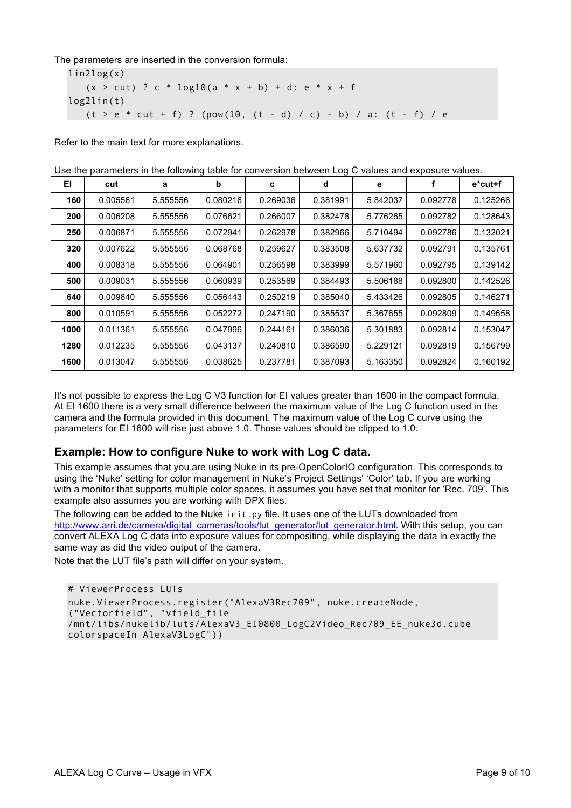The parameters are inserted in the conversion formula:

lin2log(x)  $(x > cut)$  ? c \* log10(a \* x + b) + d: e \* x + f log2lin(t)  $(t > e * cut + f)$  ? (pow(10,  $(t - d) / c$ ) - b) / a:  $(t - f) / e$ 

Refer to the main text for more explanations.

|      |          |          |          |          |          |          | ood ind parameters in the following table for conversion between Eog O values and exposure values. |             |
|------|----------|----------|----------|----------|----------|----------|----------------------------------------------------------------------------------------------------|-------------|
| EI   | cut      | a        | b        | c        | d        | е        |                                                                                                    | $e^*$ cut+f |
| 160  | 0.005561 | 5.555556 | 0.080216 | 0.269036 | 0.381991 | 5.842037 | 0.092778                                                                                           | 0.125266    |
| 200  | 0.006208 | 5.555556 | 0.076621 | 0.266007 | 0.382478 | 5.776265 | 0.092782                                                                                           | 0.128643    |
| 250  | 0.006871 | 5.555556 | 0.072941 | 0.262978 | 0.382966 | 5.710494 | 0.092786                                                                                           | 0.132021    |
| 320  | 0.007622 | 5.555556 | 0.068768 | 0.259627 | 0.383508 | 5.637732 | 0.092791                                                                                           | 0.135761    |
| 400  | 0.008318 | 5.555556 | 0.064901 | 0.256598 | 0.383999 | 5.571960 | 0.092795                                                                                           | 0.139142    |
| 500  | 0.009031 | 5.555556 | 0.060939 | 0.253569 | 0.384493 | 5.506188 | 0.092800                                                                                           | 0.142526    |
| 640  | 0.009840 | 5.555556 | 0.056443 | 0.250219 | 0.385040 | 5.433426 | 0.092805                                                                                           | 0.146271    |
| 800  | 0.010591 | 5.555556 | 0.052272 | 0.247190 | 0.385537 | 5.367655 | 0.092809                                                                                           | 0.149658    |
| 1000 | 0.011361 | 5.555556 | 0.047996 | 0.244161 | 0.386036 | 5.301883 | 0.092814                                                                                           | 0.153047    |
| 1280 | 0.012235 | 5.555556 | 0.043137 | 0.240810 | 0.386590 | 5.229121 | 0.092819                                                                                           | 0.156799    |
| 1600 | 0.013047 | 5.555556 | 0.038625 | 0.237781 | 0.387093 | 5.163350 | 0.092824                                                                                           | 0.160192    |

Use the parameters in the following table for conversion between Log C values and exposure values.

It's not possible to express the Log C V3 function for EI values greater than 1600 in the compact formula. At EI 1600 there is a very small difference between the maximum value of the Log C function used in the camera and the formula provided in this document. The maximum value of the Log C curve using the parameters for EI 1600 will rise just above 1.0. Those values should be clipped to 1.0.

#### **Example: How to configure Nuke to work with Log C data.**

This example assumes that you are using Nuke in its pre-OpenColorIO configuration. This corresponds to using the 'Nuke' setting for color management in Nuke's Project Settings' 'Color' tab. If you are working with a monitor that supports multiple color spaces, it assumes you have set that monitor for 'Rec. 709'. This example also assumes you are working with DPX files.

The following can be added to the Nuke init. py file. It uses one of the LUTs downloaded from http://www.arri.de/camera/digital\_cameras/tools/lut\_generator/lut\_generator.html. With this setup, you can convert ALEXA Log C data into exposure values for compositing, while displaying the data in exactly the same way as did the video output of the camera.

Note that the LUT file's path will differ on your system.

```
# ViewerProcess LUTs 
nuke.ViewerProcess.register("AlexaV3Rec709", nuke.createNode, 
("Vectorfield", "vfield_file 
/mnt/libs/nukelib/luts/AlexaV3_EI0800_LogC2Video_Rec709_EE_nuke3d.cube 
colorspaceIn AlexaV3LogC"))
```